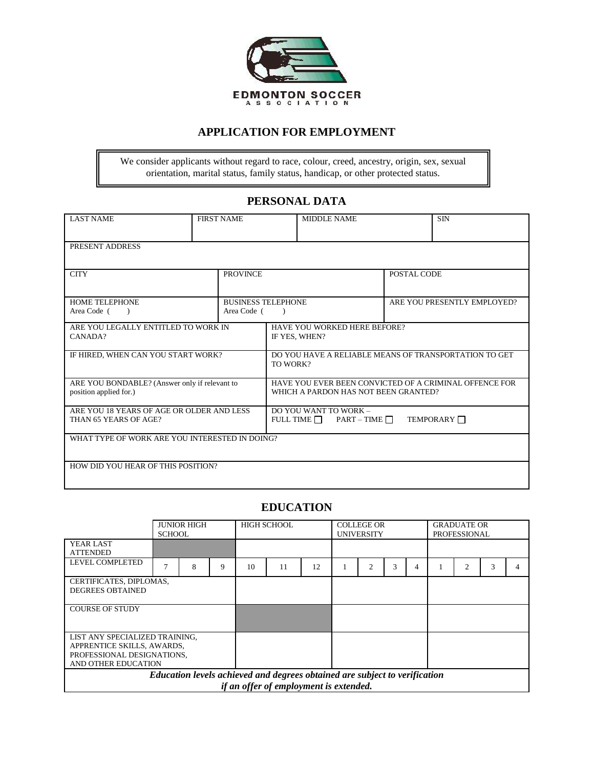

## **APPLICATION FOR EMPLOYMENT**

We consider applicants without regard to race, colour, creed, ancestry, origin, sex, sexual orientation, marital status, family status, handicap, or other protected status.

# **PERSONAL DATA**

| <b>LAST NAME</b>                                                                           | <b>FIRST NAME</b> |           |                                                                                                | <b>MIDDLE NAME</b> |  | <b>SIN</b> |  |
|--------------------------------------------------------------------------------------------|-------------------|-----------|------------------------------------------------------------------------------------------------|--------------------|--|------------|--|
| PRESENT ADDRESS                                                                            |                   |           |                                                                                                |                    |  |            |  |
| <b>CITY</b><br><b>PROVINCE</b>                                                             |                   |           |                                                                                                | POSTAL CODE        |  |            |  |
| HOME TELEPHONE<br><b>BUSINESS TELEPHONE</b><br>Area Code (<br>Area Code (<br>$\rightarrow$ |                   | $\lambda$ | ARE YOU PRESENTLY EMPLOYED?                                                                    |                    |  |            |  |
| ARE YOU LEGALLY ENTITLED TO WORK IN<br>CANADA?                                             |                   |           | HAVE YOU WORKED HERE BEFORE?<br>IF YES, WHEN?                                                  |                    |  |            |  |
| IF HIRED, WHEN CAN YOU START WORK?                                                         |                   |           | DO YOU HAVE A RELIABLE MEANS OF TRANSPORTATION TO GET<br>TO WORK?                              |                    |  |            |  |
| ARE YOU BONDABLE? (Answer only if relevant to<br>position applied for.)                    |                   |           | HAVE YOU EVER BEEN CONVICTED OF A CRIMINAL OFFENCE FOR<br>WHICH A PARDON HAS NOT BEEN GRANTED? |                    |  |            |  |
| ARE YOU 18 YEARS OF AGE OR OLDER AND LESS<br>THAN 65 YEARS OF AGE?                         |                   |           | DO YOU WANT TO WORK -<br>FULL TIME $\Box$ PART – TIME $\Box$<br>TEMPORARY <b>N</b>             |                    |  |            |  |
| WHAT TYPE OF WORK ARE YOU INTERESTED IN DOING?                                             |                   |           |                                                                                                |                    |  |            |  |
| HOW DID YOU HEAR OF THIS POSITION?                                                         |                   |           |                                                                                                |                    |  |            |  |

## **EDUCATION**

|                                                                                                                      | <b>JUNIOR HIGH</b><br><b>SCHOOL</b> |   |   | <b>HIGH SCHOOL</b> |    |    | <b>COLLEGE OR</b><br><b>UNIVERSITY</b> |   |   |   | <b>GRADUATE OR</b><br><b>PROFESSIONAL</b> |  |  |  |
|----------------------------------------------------------------------------------------------------------------------|-------------------------------------|---|---|--------------------|----|----|----------------------------------------|---|---|---|-------------------------------------------|--|--|--|
| YEAR LAST<br><b>ATTENDED</b>                                                                                         |                                     |   |   |                    |    |    |                                        |   |   |   |                                           |  |  |  |
| <b>LEVEL COMPLETED</b>                                                                                               |                                     | 8 | 9 | 10                 | 11 | 12 |                                        | 2 | 3 | 4 |                                           |  |  |  |
| CERTIFICATES, DIPLOMAS,<br><b>DEGREES OBTAINED</b>                                                                   |                                     |   |   |                    |    |    |                                        |   |   |   |                                           |  |  |  |
| <b>COURSE OF STUDY</b>                                                                                               |                                     |   |   |                    |    |    |                                        |   |   |   |                                           |  |  |  |
| LIST ANY SPECIALIZED TRAINING,<br>APPRENTICE SKILLS, AWARDS,<br>PROFESSIONAL DESIGNATIONS.<br>AND OTHER EDUCATION    |                                     |   |   |                    |    |    |                                        |   |   |   |                                           |  |  |  |
| Education levels achieved and degrees obtained are subject to verification<br>if an offer of employment is extended. |                                     |   |   |                    |    |    |                                        |   |   |   |                                           |  |  |  |